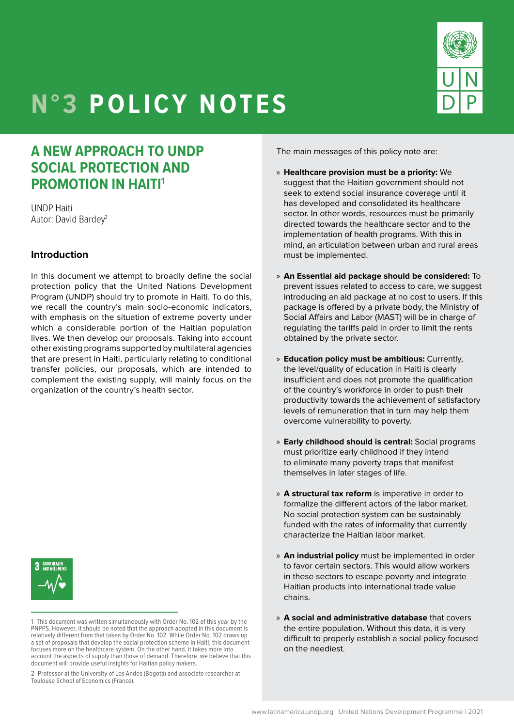

# **N°3 POLICY NOTES**

# **A NEW APPROACH TO UNDP SOCIAL PROTECTION AND PROMOTION IN HAITI1**

UNDP Haiti Autor: David Bardey<sup>2</sup>

#### **Introduction**

In this document we attempt to broadly define the social protection policy that the United Nations Development Program (UNDP) should try to promote in Haiti. To do this, we recall the country's main socio-economic indicators, with emphasis on the situation of extreme poverty under which a considerable portion of the Haitian population lives. We then develop our proposals. Taking into account other existing programs supported by multilateral agencies that are present in Haiti, particularly relating to conditional transfer policies, our proposals, which are intended to complement the existing supply, will mainly focus on the organization of the country's health sector.



<sup>1</sup> This document was written simultaneously with Order No. 102 of this year by the PNPPS. However, it should be noted that the approach adopted in this document is relatively different from that taken by Order No. 102. While Order No. 102 draws up a set of proposals that develop the social protection scheme in Haiti, this document focuses more on the healthcare system. On the other hand, it takes more into account the aspects of supply than those of demand. Therefore, we believe that this document will provide useful insights for Haitian policy makers.

The main messages of this policy note are:

- » **Healthcare provision must be a priority:** We suggest that the Haitian government should not seek to extend social insurance coverage until it has developed and consolidated its healthcare sector. In other words, resources must be primarily directed towards the healthcare sector and to the implementation of health programs. With this in mind, an articulation between urban and rural areas must be implemented.
- » **An Essential aid package should be considered:** To prevent issues related to access to care, we suggest introducing an aid package at no cost to users. If this package is offered by a private body, the Ministry of Social Affairs and Labor (MAST) will be in charge of regulating the tariffs paid in order to limit the rents obtained by the private sector.
- » **Education policy must be ambitious:** Currently, the level/quality of education in Haiti is clearly insufficient and does not promote the qualification of the country's workforce in order to push their productivity towards the achievement of satisfactory levels of remuneration that in turn may help them overcome vulnerability to poverty.
- » **Early childhood should is central:** Social programs must prioritize early childhood if they intend to eliminate many poverty traps that manifest themselves in later stages of life.
- » **A structural tax reform** is imperative in order to formalize the different actors of the labor market. No social protection system can be sustainably funded with the rates of informality that currently characterize the Haitian labor market.
- » **An industrial policy** must be implemented in order to favor certain sectors. This would allow workers in these sectors to escape poverty and integrate Haitian products into international trade value chains.
- » **A social and administrative database** that covers the entire population. Without this data, it is very difficult to properly establish a social policy focused on the neediest.

<sup>2</sup> Professor at the University of Los Andes (Bogotá) and associate researcher at Toulouse School of Economics (France).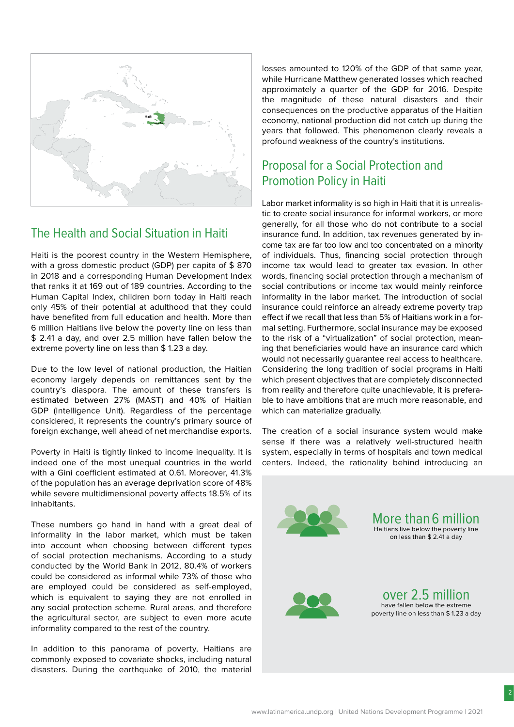

### The Health and Social Situation in Haiti

Haiti is the poorest country in the Western Hemisphere, with a gross domestic product (GDP) per capita of \$ 870 in 2018 and a corresponding Human Development Index that ranks it at 169 out of 189 countries. According to the Human Capital Index, children born today in Haiti reach only 45% of their potential at adulthood that they could have benefited from full education and health. More than 6 million Haitians live below the poverty line on less than \$ 2.41 a day, and over 2.5 million have fallen below the extreme poverty line on less than \$ 1.23 a day.

Due to the low level of national production, the Haitian economy largely depends on remittances sent by the country's diaspora. The amount of these transfers is estimated between 27% (MAST) and 40% of Haitian GDP (Intelligence Unit). Regardless of the percentage considered, it represents the country's primary source of foreign exchange, well ahead of net merchandise exports.

Poverty in Haiti is tightly linked to income inequality. It is indeed one of the most unequal countries in the world with a Gini coefficient estimated at 0.61. Moreover, 41.3% of the population has an average deprivation score of 48% while severe multidimensional poverty affects 18.5% of its inhabitants.

These numbers go hand in hand with a great deal of informality in the labor market, which must be taken into account when choosing between different types of social protection mechanisms. According to a study conducted by the World Bank in 2012, 80.4% of workers could be considered as informal while 73% of those who are employed could be considered as self-employed, which is equivalent to saying they are not enrolled in any social protection scheme. Rural areas, and therefore the agricultural sector, are subject to even more acute informality compared to the rest of the country.

In addition to this panorama of poverty, Haitians are commonly exposed to covariate shocks, including natural disasters. During the earthquake of 2010, the material losses amounted to 120% of the GDP of that same year, while Hurricane Matthew generated losses which reached approximately a quarter of the GDP for 2016. Despite the magnitude of these natural disasters and their consequences on the productive apparatus of the Haitian economy, national production did not catch up during the years that followed. This phenomenon clearly reveals a profound weakness of the country's institutions.

## Proposal for a Social Protection and Promotion Policy in Haiti

Labor market informality is so high in Haiti that it is unrealistic to create social insurance for informal workers, or more generally, for all those who do not contribute to a social insurance fund. In addition, tax revenues generated by income tax are far too low and too concentrated on a minority of individuals. Thus, financing social protection through income tax would lead to greater tax evasion. In other words, financing social protection through a mechanism of social contributions or income tax would mainly reinforce informality in the labor market. The introduction of social insurance could reinforce an already extreme poverty trap effect if we recall that less than 5% of Haitians work in a formal setting. Furthermore, social insurance may be exposed to the risk of a "virtualization" of social protection, meaning that beneficiaries would have an insurance card which would not necessarily guarantee real access to healthcare. Considering the long tradition of social programs in Haiti which present objectives that are completely disconnected from reality and therefore quite unachievable, it is preferable to have ambitions that are much more reasonable, and which can materialize gradually.

The creation of a social insurance system would make sense if there was a relatively well-structured health system, especially in terms of hospitals and town medical centers. Indeed, the rationality behind introducing an



More than6 million Haitians live below the poverty line on less than \$ 2.41 a day



over 2.5 million have fallen below the extreme poverty line on less than \$ 1.23 a day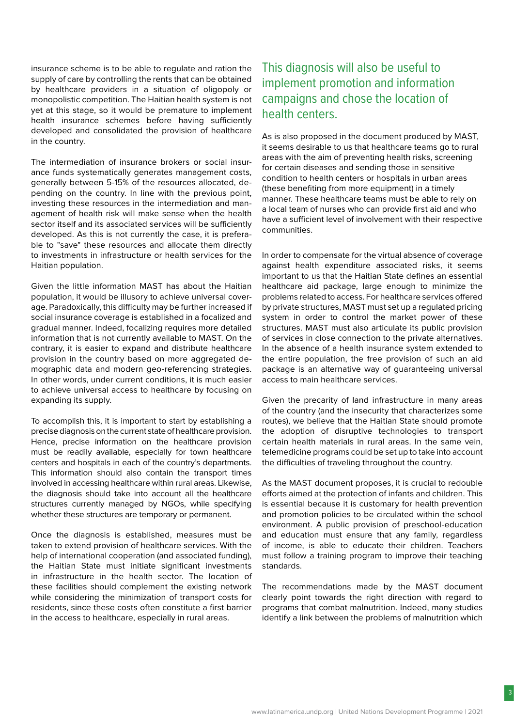insurance scheme is to be able to regulate and ration the supply of care by controlling the rents that can be obtained by healthcare providers in a situation of oligopoly or monopolistic competition. The Haitian health system is not yet at this stage, so it would be premature to implement health insurance schemes before having sufficiently developed and consolidated the provision of healthcare in the country.

The intermediation of insurance brokers or social insurance funds systematically generates management costs, generally between 5-15% of the resources allocated, depending on the country. In line with the previous point, investing these resources in the intermediation and management of health risk will make sense when the health sector itself and its associated services will be sufficiently developed. As this is not currently the case, it is preferable to "save" these resources and allocate them directly to investments in infrastructure or health services for the Haitian population.

Given the little information MAST has about the Haitian population, it would be illusory to achieve universal coverage. Paradoxically, this difficulty may be further increased if social insurance coverage is established in a focalized and gradual manner. Indeed, focalizing requires more detailed information that is not currently available to MAST. On the contrary, it is easier to expand and distribute healthcare provision in the country based on more aggregated demographic data and modern geo-referencing strategies. In other words, under current conditions, it is much easier to achieve universal access to healthcare by focusing on expanding its supply.

To accomplish this, it is important to start by establishing a precise diagnosis on the current state of healthcare provision. Hence, precise information on the healthcare provision must be readily available, especially for town healthcare centers and hospitals in each of the country's departments. This information should also contain the transport times involved in accessing healthcare within rural areas. Likewise, the diagnosis should take into account all the healthcare structures currently managed by NGOs, while specifying whether these structures are temporary or permanent.

Once the diagnosis is established, measures must be taken to extend provision of healthcare services. With the help of international cooperation (and associated funding), the Haitian State must initiate significant investments in infrastructure in the health sector. The location of these facilities should complement the existing network while considering the minimization of transport costs for residents, since these costs often constitute a first barrier in the access to healthcare, especially in rural areas.

### This diagnosis will also be useful to implement promotion and information campaigns and chose the location of health centers.

As is also proposed in the document produced by MAST, it seems desirable to us that healthcare teams go to rural areas with the aim of preventing health risks, screening for certain diseases and sending those in sensitive condition to health centers or hospitals in urban areas (these benefiting from more equipment) in a timely manner. These healthcare teams must be able to rely on a local team of nurses who can provide first aid and who have a sufficient level of involvement with their respective communities.

In order to compensate for the virtual absence of coverage against health expenditure associated risks, it seems important to us that the Haitian State defines an essential healthcare aid package, large enough to minimize the problems related to access. For healthcare services offered by private structures, MAST must set up a regulated pricing system in order to control the market power of these structures. MAST must also articulate its public provision of services in close connection to the private alternatives. In the absence of a health insurance system extended to the entire population, the free provision of such an aid package is an alternative way of guaranteeing universal access to main healthcare services.

Given the precarity of land infrastructure in many areas of the country (and the insecurity that characterizes some routes), we believe that the Haitian State should promote the adoption of disruptive technologies to transport certain health materials in rural areas. In the same vein, telemedicine programs could be set up to take into account the difficulties of traveling throughout the country.

As the MAST document proposes, it is crucial to redouble efforts aimed at the protection of infants and children. This is essential because it is customary for health prevention and promotion policies to be circulated within the school environment. A public provision of preschool-education and education must ensure that any family, regardless of income, is able to educate their children. Teachers must follow a training program to improve their teaching standards.

The recommendations made by the MAST document clearly point towards the right direction with regard to programs that combat malnutrition. Indeed, many studies identify a link between the problems of malnutrition which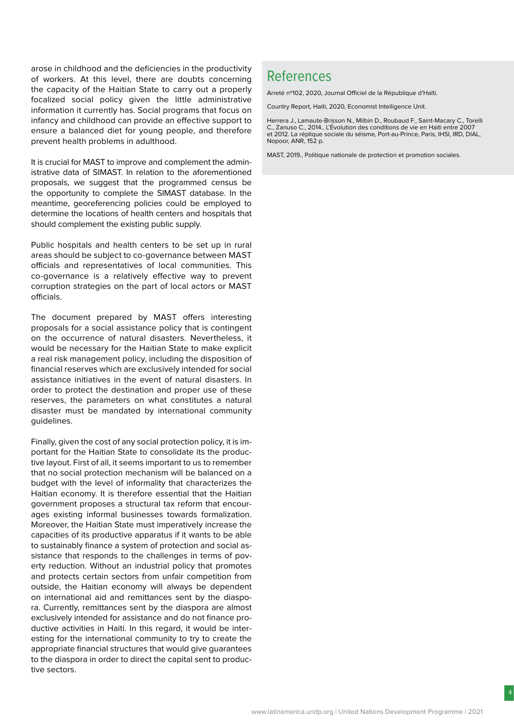arose in childhood and the deficiencies in the productivity of workers. At this level, there are doubts concerning the capacity of the Haitian State to carry out a properly focalized social policy given the little administrative information it currently has. Social programs that focus on infancy and childhood can provide an effective support to ensure a balanced diet for young people, and therefore prevent health problems in adulthood.

It is crucial for MAST to improve and complement the administrative data of SIMAST. In relation to the aforementioned proposals, we suggest that the programmed census be the opportunity to complete the SIMAST database. In the meantime, georeferencing policies could be employed to determine the locations of health centers and hospitals that should complement the existing public supply.

Public hospitals and health centers to be set up in rural areas should be subject to co-governance between MAST officials and representatives of local communities. This co-governance is a relatively effective way to prevent corruption strategies on the part of local actors or MAST officials.

The document prepared by MAST offers interesting proposals for a social assistance policy that is contingent on the occurrence of natural disasters. Nevertheless, it would be necessary for the Haitian State to make explicit a real risk management policy, including the disposition of financial reserves which are exclusively intended for social assistance initiatives in the event of natural disasters. In order to protect the destination and proper use of these reserves, the parameters on what constitutes a natural disaster must be mandated by international community guidelines.

Finally, given the cost of any social protection policy, it is important for the Haitian State to consolidate its the productive layout. First of all, it seems important to us to remember that no social protection mechanism will be balanced on a budget with the level of informality that characterizes the Haitian economy. It is therefore essential that the Haitian government proposes a structural tax reform that encourages existing informal businesses towards formalization. Moreover, the Haitian State must imperatively increase the capacities of its productive apparatus if it wants to be able to sustainably finance a system of protection and social assistance that responds to the challenges in terms of poverty reduction. Without an industrial policy that promotes and protects certain sectors from unfair competition from outside, the Haitian economy will always be dependent on international aid and remittances sent by the diaspora. Currently, remittances sent by the diaspora are almost exclusively intended for assistance and do not finance productive activities in Haiti. In this regard, it would be interesting for the international community to try to create the appropriate financial structures that would give guarantees to the diaspora in order to direct the capital sent to productive sectors.

# References

Arreté nº102, 2020, Journal Officiel de la République d'Haïti.

Country Report, Haiti, 2020, Economist Intelligence Unit.

Herrera J., Lamaute-Brisson N., Milbin D., Roubaud F., Saint-Macary C., Torelli C., Zanuso C., 2014., L'Évolution des conditions de vie en Haïti entre 2007 et 2012. La réplique sociale du séisme, Port-au-Prince, Paris, IHSI, IRD, DIAL, Nopoor, ANR, 152 p.

MAST, 2019., Politique nationale de protection et promotion sociales.